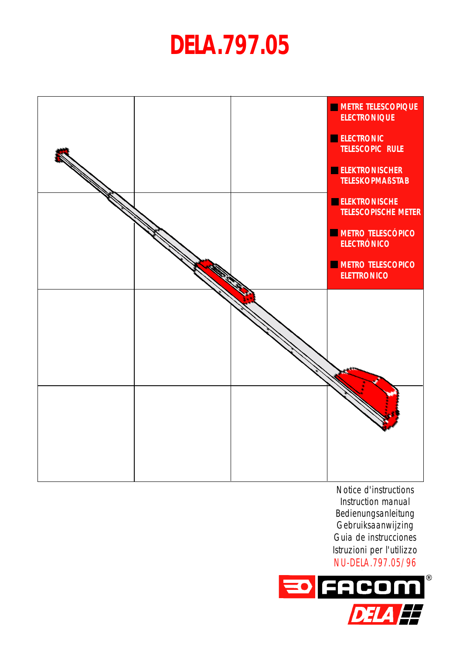# **DELA.797.05**



Notice d'instructions Instruction manual Bedienungsanleitung Gebruiksaanwijzing Guia de instrucciones Istruzioni per l'utilizzo NU-DELA.797.05/96

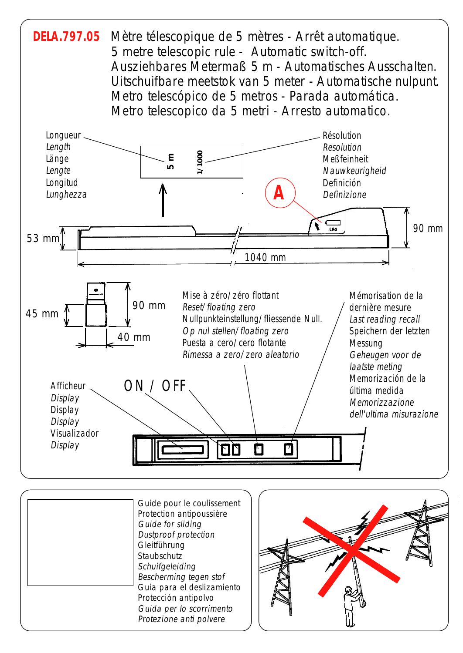

| Guide pour le coulissement<br>Protection antipoussière<br>Guide for sliding<br><b>Dustproof protection</b><br>Gleitführung<br>Staubschutz<br>Schuifgeleiding<br>Bescherming tegen stof<br>Guia para el deslizamiento<br>Protección antipolvo<br>Guida per lo scorrimento |
|--------------------------------------------------------------------------------------------------------------------------------------------------------------------------------------------------------------------------------------------------------------------------|
| Protezione anti polvere                                                                                                                                                                                                                                                  |
|                                                                                                                                                                                                                                                                          |

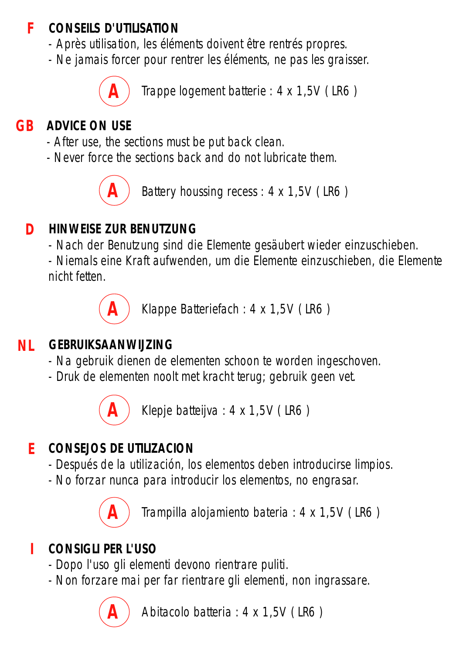#### **CONSEILS D'UTILISATION F**

- Après utilisation, les éléments doivent être rentrés propres.
- Ne jamais forcer pour rentrer les éléments, ne pas les graisser.

**A**

Trappe logement batterie : 4 x 1,5V ( LR6 )

# **GB ADVICE ON USE**

- After use, the sections must be put back clean.
- Never force the sections back and do not lubricate them.



Battery houssing recess : 4 x 1,5V ( LR6 )

## **D HINWEISE ZUR BENUTZUNG**

- Nach der Benutzung sind die Elemente gesäubert wieder einzuschieben.

- Niemals eine Kraft aufwenden, um die Elemente einzuschieben, die Elemente nicht fetten.

**A**

Klappe Batteriefach : 4 x 1,5V ( LR6 )

#### **NL GEBRUIKSAANWIJZING**

- Na gebruik dienen de elementen schoon te worden ingeschoven.
- Druk de elementen noolt met kracht terug; gebruik geen vet.



Klepje batteijva : 4 x 1,5V ( LR6 )

## **E CONSEJOS DE UTILIZACION**

- Después de la utilización, los elementos deben introducirse limpios.
- No forzar nunca para introducir los elementos, no engrasar.



Trampilla alojamiento bateria : 4 x 1,5V ( LR6 )

#### **I CONSIGLI PER L'USO**

- Dopo l'uso gli elementi devono rientrare puliti.
- Non forzare mai per far rientrare gli elementi, non ingrassare.



Abitacolo batteria : 4 x 1,5V ( LR6 )